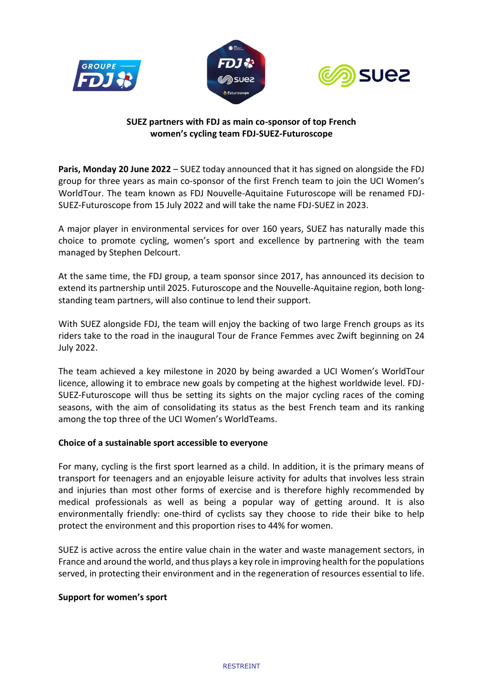





# **SUEZ partners with FDJ as main co-sponsor of top French women's cycling team FDJ-SUEZ-Futuroscope**

**Paris, Monday 20 June 2022** – SUEZ today announced that it has signed on alongside the FDJ group for three years as main co-sponsor of the first French team to join the UCI Women's WorldTour. The team known as FDJ Nouvelle-Aquitaine Futuroscope will be renamed FDJ-SUEZ-Futuroscope from 15 July 2022 and will take the name FDJ-SUEZ in 2023.

A major player in environmental services for over 160 years, SUEZ has naturally made this choice to promote cycling, women's sport and excellence by partnering with the team managed by Stephen Delcourt.

At the same time, the FDJ group, a team sponsor since 2017, has announced its decision to extend its partnership until 2025. Futuroscope and the Nouvelle-Aquitaine region, both longstanding team partners, will also continue to lend their support.

With SUEZ alongside FDJ, the team will enjoy the backing of two large French groups as its riders take to the road in the inaugural Tour de France Femmes avec Zwift beginning on 24 July 2022.

The team achieved a key milestone in 2020 by being awarded a UCI Women's WorldTour licence, allowing it to embrace new goals by competing at the highest worldwide level. FDJ-SUEZ-Futuroscope will thus be setting its sights on the major cycling races of the coming seasons, with the aim of consolidating its status as the best French team and its ranking among the top three of the UCI Women's WorldTeams.

# **Choice of a sustainable sport accessible to everyone**

For many, cycling is the first sport learned as a child. In addition, it is the primary means of transport for teenagers and an enjoyable leisure activity for adults that involves less strain and injuries than most other forms of exercise and is therefore highly recommended by medical professionals as well as being a popular way of getting around. It is also environmentally friendly: one-third of cyclists say they choose to ride their bike to help protect the environment and this proportion rises to 44% for women.

SUEZ is active across the entire value chain in the water and waste management sectors, in France and around the world, and thus plays a key role in improving health for the populations served, in protecting their environment and in the regeneration of resources essential to life.

## **Support for women's sport**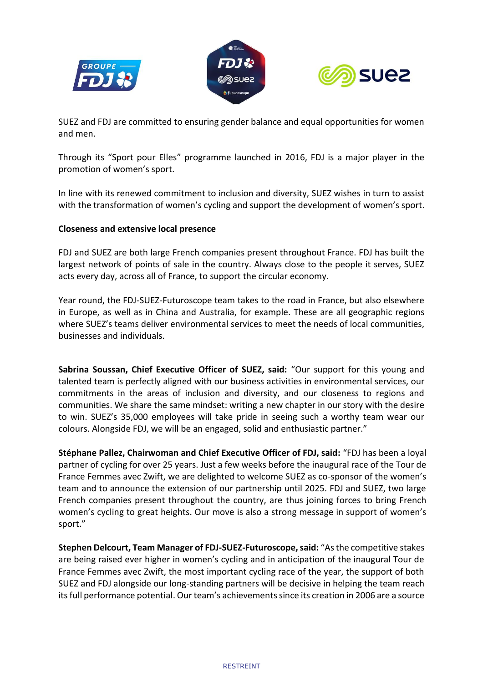





SUEZ and FDJ are committed to ensuring gender balance and equal opportunities for women and men.

Through its "Sport pour Elles" programme launched in 2016, FDJ is a major player in the promotion of women's sport.

In line with its renewed commitment to inclusion and diversity, SUEZ wishes in turn to assist with the transformation of women's cycling and support the development of women's sport.

## **Closeness and extensive local presence**

FDJ and SUEZ are both large French companies present throughout France. FDJ has built the largest network of points of sale in the country. Always close to the people it serves, SUEZ acts every day, across all of France, to support the circular economy.

Year round, the FDJ-SUEZ-Futuroscope team takes to the road in France, but also elsewhere in Europe, as well as in China and Australia, for example. These are all geographic regions where SUEZ's teams deliver environmental services to meet the needs of local communities, businesses and individuals.

**Sabrina Soussan, Chief Executive Officer of SUEZ, said:** "Our support for this young and talented team is perfectly aligned with our business activities in environmental services, our commitments in the areas of inclusion and diversity, and our closeness to regions and communities. We share the same mindset: writing a new chapter in our story with the desire to win. SUEZ's 35,000 employees will take pride in seeing such a worthy team wear our colours. Alongside FDJ, we will be an engaged, solid and enthusiastic partner."

**Stéphane Pallez, Chairwoman and Chief Executive Officer of FDJ, said:** "FDJ has been a loyal partner of cycling for over 25 years. Just a few weeks before the inaugural race of the Tour de France Femmes avec Zwift, we are delighted to welcome SUEZ as co-sponsor of the women's team and to announce the extension of our partnership until 2025. FDJ and SUEZ, two large French companies present throughout the country, are thus joining forces to bring French women's cycling to great heights. Our move is also a strong message in support of women's sport."

**Stephen Delcourt, Team Manager of FDJ-SUEZ-Futuroscope, said:** "As the competitive stakes are being raised ever higher in women's cycling and in anticipation of the inaugural Tour de France Femmes avec Zwift, the most important cycling race of the year, the support of both SUEZ and FDJ alongside our long-standing partners will be decisive in helping the team reach its full performance potential. Our team's achievements since its creation in 2006 are a source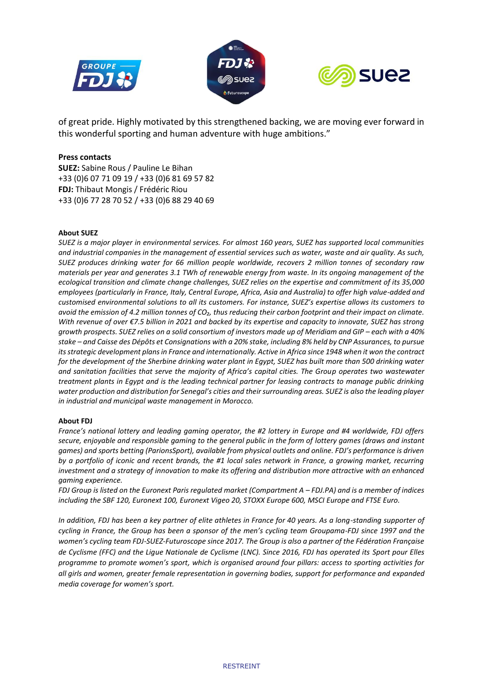





of great pride. Highly motivated by this strengthened backing, we are moving ever forward in this wonderful sporting and human adventure with huge ambitions."

### **Press contacts**

**SUEZ:** Sabine Rous / Pauline Le Bihan +33 (0)6 07 71 09 19 / +33 (0)6 81 69 57 82 **FDJ:** Thibaut Mongis / Frédéric Riou +33 (0)6 77 28 70 52 / +33 (0)6 88 29 40 69

### **About SUEZ**

*SUEZ is a major player in environmental services. For almost 160 years, SUEZ has supported local communities and industrial companies in the management of essential services such as water, waste and air quality. As such, SUEZ produces drinking water for 66 million people worldwide, recovers 2 million tonnes of secondary raw materials per year and generates 3.1 TWh of renewable energy from waste. In its ongoing management of the ecological transition and climate change challenges, SUEZ relies on the expertise and commitment of its 35,000 employees (particularly in France, Italy, Central Europe, Africa, Asia and Australia) to offer high value-added and customised environmental solutions to all its customers. For instance, SUEZ's expertise allows its customers to avoid the emission of 4.2 million tonnes of CO₂, thus reducing their carbon footprint and their impact on climate. With revenue of over €7.5 billion in 2021 and backed by its expertise and capacity to innovate, SUEZ has strong growth prospects. SUEZ relies on a solid consortium of investors made up of Meridiam and GIP – each with a 40% stake – and Caisse des Dépôts et Consignations with a 20% stake, including 8% held by CNP Assurances, to pursue its strategic development plans in France and internationally. Active in Africa since 1948 when it won the contract for the development of the Sherbine drinking water plant in Egypt, SUEZ has built more than 500 drinking water and sanitation facilities that serve the majority of Africa's capital cities. The Group operates two wastewater treatment plants in Egypt and is the leading technical partner for leasing contracts to manage public drinking water production and distribution for Senegal's cities and their surrounding areas. SUEZ is also the leading player in industrial and municipal waste management in Morocco.*

#### **About FDJ**

*France's national lottery and leading gaming operator, the #2 lottery in Europe and #4 worldwide, FDJ offers secure, enjoyable and responsible gaming to the general public in the form of lottery games (draws and instant games) and sports betting (ParionsSport), available from physical outlets and online. FDJ's performance is driven by a portfolio of iconic and recent brands, the #1 local sales network in France, a growing market, recurring investment and a strategy of innovation to make its offering and distribution more attractive with an enhanced gaming experience.* 

*FDJ Group is listed on the Euronext Paris regulated market (Compartment A - FDJ.PA) and is a member of indices including the SBF 120, Euronext 100, Euronext Vigeo 20, STOXX Europe 600, MSCI Europe and FTSE Euro.*

*In addition, FDJ has been a key partner of elite athletes in France for 40 years. As a long-standing supporter of cycling in France, the Group has been a sponsor of the men's cycling team Groupama-FDJ since 1997 and the women's cycling team FDJ-SUEZ-Futuroscope since 2017. The Group is also a partner of the Fédération Française de Cyclisme (FFC) and the Ligue Nationale de Cyclisme (LNC). Since 2016, FDJ has operated its Sport pour Elles programme to promote women's sport, which is organised around four pillars: access to sporting activities for all girls and women, greater female representation in governing bodies, support for performance and expanded media coverage for women's sport.*